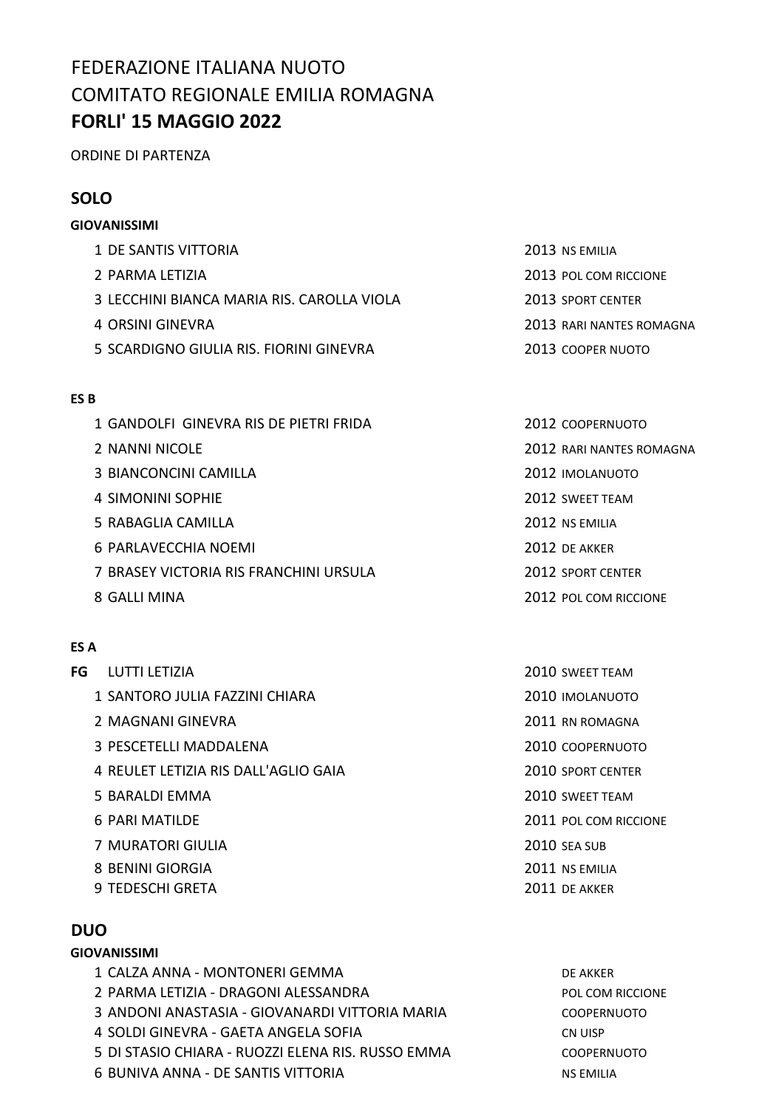# FEDERAZIONE ITALIANA NUOTO COMITATO REGIONALE EMILIA ROMAGNA **FORLI' 15 MAGGIO 2022**

ORDINE DI PARTENZA

## **SOLO**

# **GIOVANISSIMI** 1 DE SANTIS VITTORIA 2013 NS EMILIA 2 PARMA LETIZIA 2013 POL COM RICCIONE 3 LECCHINI BIANCA MARIA RIS. CAROLLA VIOLA 2013 SPORT CENTER 4 ORSINI GINEVRA 2013 RARI NANTES ROMAGNA 5 SCARDIGNO GIULIA RIS. FIORINI GINEVRA 2013 COOPER NUOTO

#### **ES B**

- 1 GANDOLFI GINEVRA RIS DE PIETRI FRIDA 2012 COOPERNUOTO
- 
- 3 BIANCONCINI CAMILLA 2012 IMOLANUOTO
- 4 SIMONINI SOPHIE 2012 SWEET TEAM
- 5 RABAGLIA CAMILLA 2012 NS EMILIA
- 6 PARLAVECCHIA NOEMI 2012 DE AKKER
- 7 BRASEY VICTORIA RIS FRANCHINI URSULA 2012 SPORT CENTER
- 

### **ES A**

- **FG** LUTTI LETIZIA
	- 1 SANTORO JULIA FAZZINI CHIARA
	- 2 MAGNANI GINEVRA
	- 3 PESCETELLI MADDALENA
	- 4 REULET LETIZIA RIS DALL'AGLIO GAIA
	- 5 BARALDI EMMA
	- 6 PARI MATILDE
	- **7 MURATORI GIULIA**
	- 8 BENINI GIORGIA
	- 9 TEDESCHI GRETA

## **DUO**

#### **GIOVANISSIMI**

1 CALZA ANNA - MONTONERI GEMMA DE AKKER 2 PARMA LETIZIA - DRAGONI ALESSANDRA **POL COM RICCIONE** 3 ANDONI ANASTASIA - GIOVANARDI VITTORIA MARIA COOPERNUOTO 4 SOLDI GINEVRA - GAETA ANGELA SOFIA CN UISP 5 DI STASIO CHIARA - RUOZZI ELENA RIS. RUSSO EMMA COOPERNUOTO 6 BUNIVA ANNA - DE SANTIS VITTORIA NA EMILIA NS EMILIA

2 NANNI NICOLE 2012 RARI NANTES ROMAGNA

- 
- 
- 
- 8 GALLI MINA 2012 POL COM RICCIONE

| 2010 SWEET TEAM       |
|-----------------------|
| 2010 IMOLANUOTO       |
| 2011 RN ROMAGNA       |
| 2010 coopernuoto      |
| 2010 SPORT CENTER     |
| 2010 SWEET TEAM       |
| 2011 POL COM RICCIONE |
| 2010 SEA SUB          |
| 2011 NS EMILIA        |
| 2011 DE AKKER         |
|                       |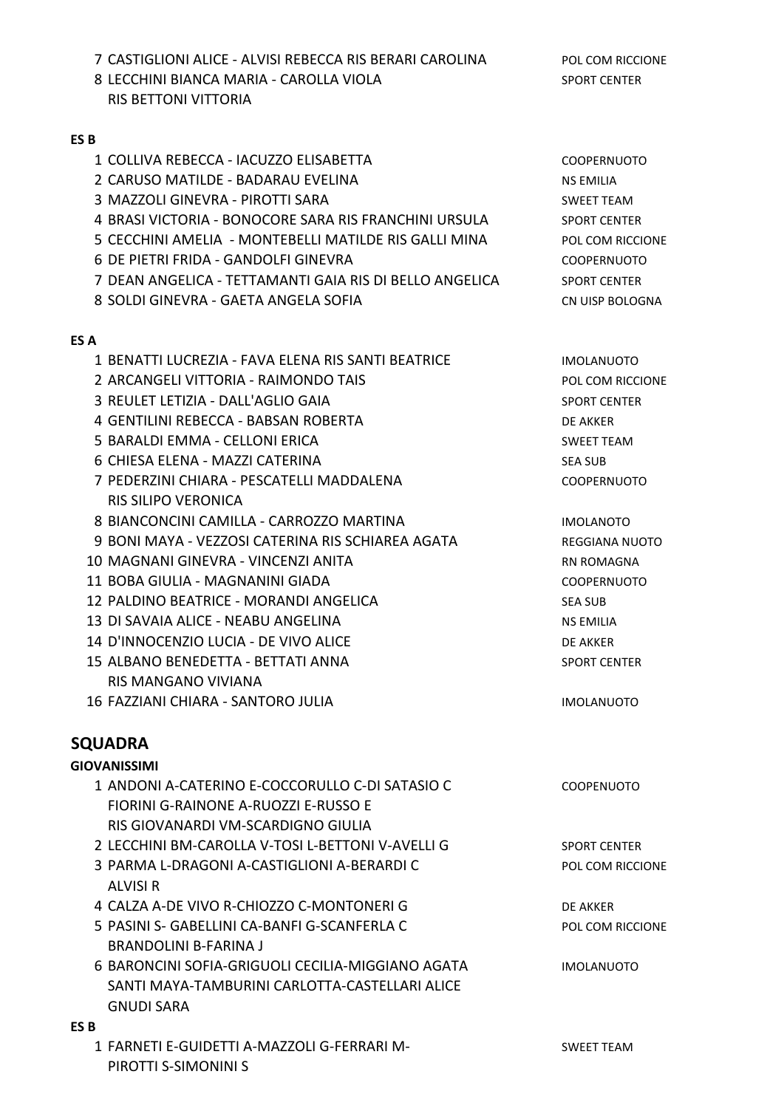7 CASTIGLIONI ALICE - ALVISI REBECCA RIS BERARI CAROLINA POL COM RICCIONE

8 LECCHINI BIANCA MARIA - CAROLLA VIOLA SPORT CENTER RIS BETTONI VITTORIA

#### **ES B**

- 1 COLLIVA REBECCA IACUZZO ELISABETTA COOPERNUOTO
- 2 CARUSO MATILDE BADARAU EVELINA NA NA NA NA NA NA NA EMILIA
- 3 MAZZOLI GINEVRA PIROTTI SARA SWEET TEAM
- 4 BRASI VICTORIA BONOCORE SARA RIS FRANCHINI URSULA SPORT CENTER
- 5 CECCHINI AMELIA MONTEBELLI MATILDE RIS GALLI MINA POL COM RICCIONE
- 6 DE PIETRI FRIDA GANDOLFI GINEVRA COOPERNUOTO
- 7 DEAN ANGELICA TETTAMANTI GAIA RIS DI BELLO ANGELICA SPORT CENTER
- 8 SOLDI GINEVRA GAETA ANGELA SOFIA CN UISP BOLOGNA

#### **ES A**

- 1 BENATTI LUCREZIA FAVA ELENA RIS SANTI BEATRICE IMOLANUOTO
- 2 ARCANGELI VITTORIA RAIMONDO TAIS **POL COM RICCIONE**
- 3 REULET LETIZIA DALL'AGLIO GAIA SPORT CENTER
- 4 GENTILINI REBECCA BABSAN ROBERTA DE AKKER
- 5 BARALDI EMMA CELLONI ERICA SWEET TEAM
- 6 CHIESA ELENA MAZZI CATERINA SEA SUB
- 7 PEDERZINI CHIARA PESCATELLI MADDALENA COOPERNUOTO RIS SILIPO VERONICA
- 8 BIANCONCINI CAMILLA CARROZZO MARTINA IMOLANOTO
- 9 BONI MAYA VEZZOSI CATERINA RIS SCHIAREA AGATA REGGIANA NUOTO
- 10 MAGNANI GINEVRA VINCENZI ANITA RN ROMAGNA
- 11 BOBA GIULIA MAGNANINI GIADA COOPERNUOTO
- 12 PALDINO BEATRICE MORANDI ANGELICA SEA SUB
- 13 DI SAVAIA ALICE NEABU ANGELINA NS EMILIA
- 14 D'INNOCENZIO LUCIA DE VIVO ALICE **AN ESTADO E ANALICE** DE AKKER
- 15 ALBANO BENEDETTA BETTATI ANNA SPORT CENTER RIS MANGANO VIVIANA

16 FAZZIANI CHIARA - SANTORO JULIA IMOLANUOTO

## **SQUADRA**

| <b>GIOVANISSIMI</b>                               |                         |
|---------------------------------------------------|-------------------------|
| 1 ANDONI A-CATERINO E-COCCORULLO C-DI SATASIO C   | <b>COOPENUOTO</b>       |
| FIORINI G-RAINONE A-RUOZZI E-RUSSO E              |                         |
| RIS GIOVANARDI VM-SCARDIGNO GIULIA                |                         |
| 2 LECCHINI BM-CAROLLA V-TOSI L-BETTONI V-AVELLI G | <b>SPORT CENTER</b>     |
| 3 PARMA L-DRAGONI A-CASTIGLIONI A-BERARDI C       | <b>POL COM RICCIONE</b> |
| <b>ALVISI R</b>                                   |                         |
| 4 CALZA A-DE VIVO R-CHIOZZO C-MONTONERI G         | DF AKKFR                |
| 5 PASINI S- GABELLINI CA-BANFI G-SCANFERLA C      | <b>POL COM RICCIONE</b> |
| BRANDOLINI B-FARINA J                             |                         |
| 6 BARONCINI SOFIA-GRIGUOLI CECILIA-MIGGIANO AGATA | <b>IMOLANUOTO</b>       |
| SANTI MAYA-TAMBURINI CARLOTTA-CASTELLARI ALICE    |                         |
| <b>GNUDI SARA</b>                                 |                         |
| ES B                                              |                         |
| 1 FARNETI E-GUIDETTI A-MAZZOLI G-FERRARI M-       | SWEET TEAM              |

PIROTTI S-SIMONINI S